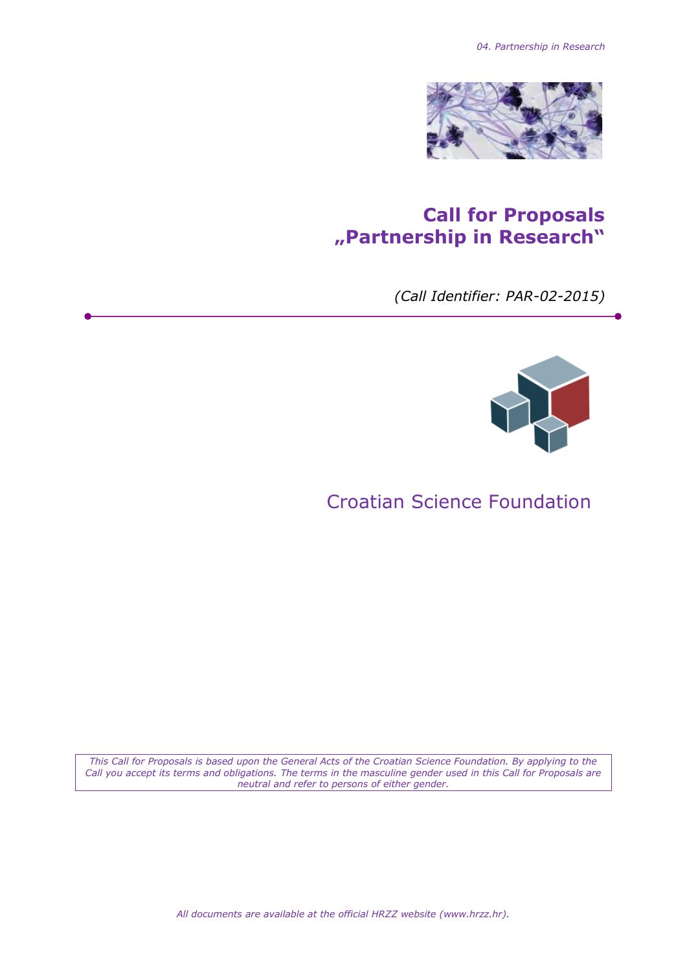*04. Partnership in Research*



# **Call for Proposals "Partnership in Research"**

*(Call Identifier: PAR-02-2015)*



# Croatian Science Foundation

*This Call for Proposals is based upon the General Acts of the Croatian Science Foundation. By applying to the Call you accept its terms and obligations. The terms in the masculine gender used in this Call for Proposals are neutral and refer to persons of either gender.*

*All documents are available at the official HRZZ website (www.hrzz.hr).*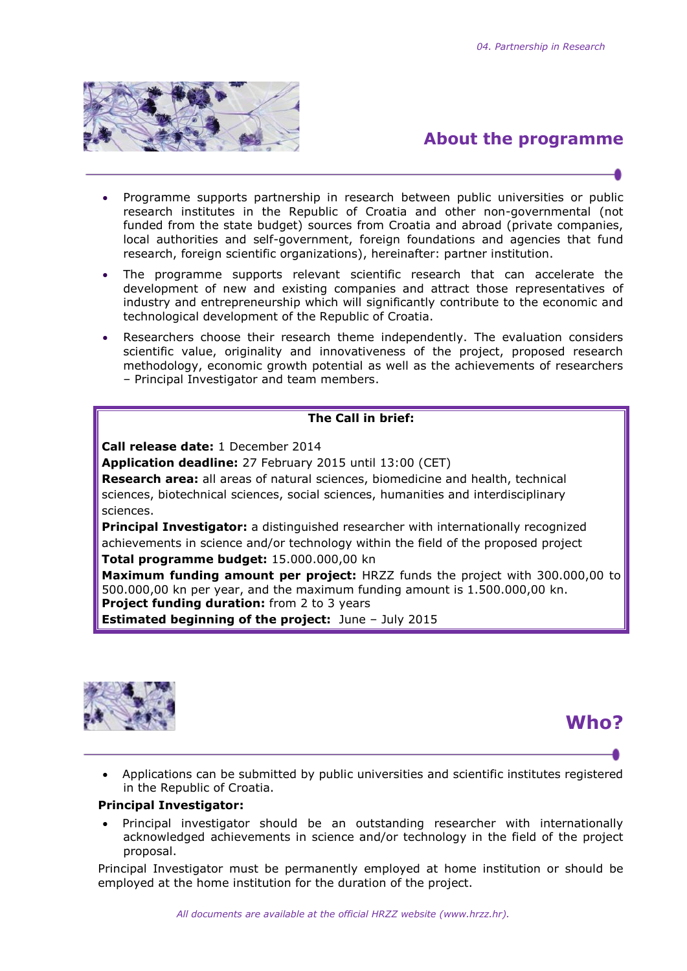

## **About the programme**

- Programme supports partnership in research between public universities or public research institutes in the Republic of Croatia and other non-governmental (not funded from the state budget) sources from Croatia and abroad (private companies, local authorities and self-government, foreign foundations and agencies that fund research, foreign scientific organizations), hereinafter: partner institution.
- The programme supports relevant scientific research that can accelerate the development of new and existing companies and attract those representatives of industry and entrepreneurship which will significantly contribute to the economic and technological development of the Republic of Croatia.
- Researchers choose their research theme independently. The evaluation considers scientific value, originality and innovativeness of the project, proposed research methodology, economic growth potential as well as the achievements of researchers – Principal Investigator and team members.

### **The Call in brief:**

**Call release date:** 1 December 2014

**Application deadline:** 27 February 2015 until 13:00 (CET)

**Research area:** all areas of natural sciences, biomedicine and health, technical sciences, biotechnical sciences, social sciences, humanities and interdisciplinary sciences.

**Principal Investigator:** a distinguished researcher with internationally recognized achievements in science and/or technology within the field of the proposed project **Total programme budget:** 15.000.000,00 kn

**Maximum funding amount per project:** HRZZ funds the project with 300.000,00 to 500.000,00 kn per year, and the maximum funding amount is 1.500.000,00 kn. **Project funding duration:** from 2 to 3 years

**Estimated beginning of the project:** June – July 2015



## **Who?**

 Applications can be submitted by public universities and scientific institutes registered in the Republic of Croatia.

### **Principal Investigator:**

 Principal investigator should be an outstanding researcher with internationally acknowledged achievements in science and/or technology in the field of the project proposal.

Principal Investigator must be permanently employed at home institution or should be employed at the home institution for the duration of the project.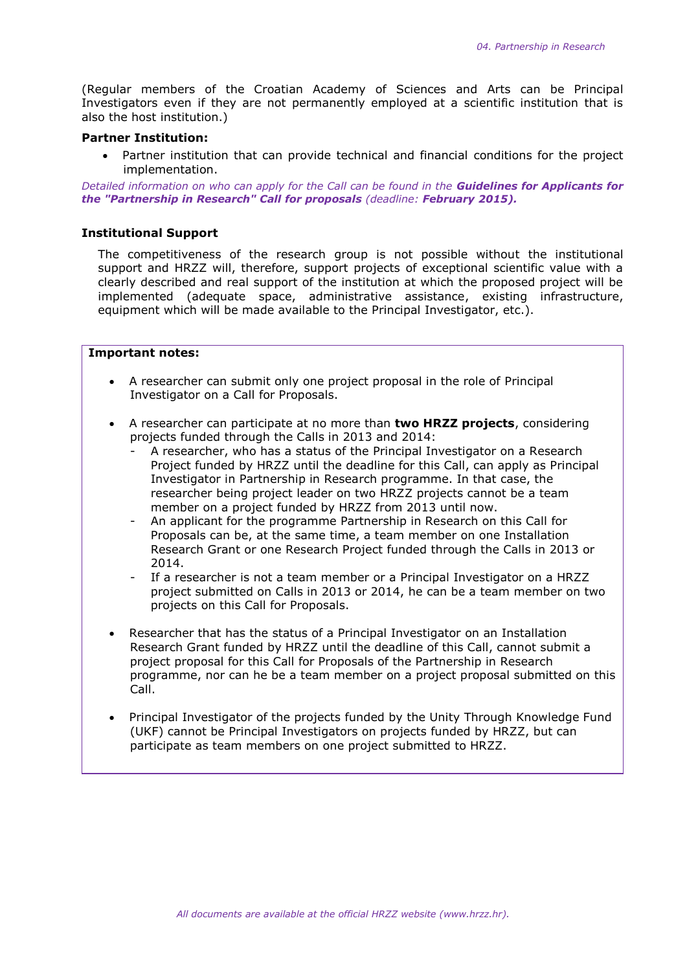(Regular members of the Croatian Academy of Sciences and Arts can be Principal Investigators even if they are not permanently employed at a scientific institution that is also the host institution.)

#### **Partner Institution:**

 Partner institution that can provide technical and financial conditions for the project implementation.

*Detailed information on who can apply for the Call can be found in the Guidelines for Applicants for the "Partnership in Research" Call for proposals (deadline: February 2015).*

#### **Institutional Support**

The competitiveness of the research group is not possible without the institutional support and HRZZ will, therefore, support projects of exceptional scientific value with a clearly described and real support of the institution at which the proposed project will be implemented (adequate space, administrative assistance, existing infrastructure, equipment which will be made available to the Principal Investigator, etc.).

#### **Important notes:**

- A researcher can submit only one project proposal in the role of Principal Investigator on a Call for Proposals.
- A researcher can participate at no more than **two HRZZ projects**, considering projects funded through the Calls in 2013 and 2014:
	- A researcher, who has a status of the Principal Investigator on a Research Project funded by HRZZ until the deadline for this Call, can apply as Principal Investigator in Partnership in Research programme. In that case, the researcher being project leader on two HRZZ projects cannot be a team member on a project funded by HRZZ from 2013 until now.
	- An applicant for the programme Partnership in Research on this Call for Proposals can be, at the same time, a team member on one Installation Research Grant or one Research Project funded through the Calls in 2013 or 2014.
	- If a researcher is not a team member or a Principal Investigator on a HRZZ project submitted on Calls in 2013 or 2014, he can be a team member on two projects on this Call for Proposals.
- Researcher that has the status of a Principal Investigator on an Installation Research Grant funded by HRZZ until the deadline of this Call, cannot submit a project proposal for this Call for Proposals of the Partnership in Research programme, nor can he be a team member on a project proposal submitted on this Call.
- Principal Investigator of the projects funded by the Unity Through Knowledge Fund (UKF) cannot be Principal Investigators on projects funded by HRZZ, but can participate as team members on one project submitted to HRZZ.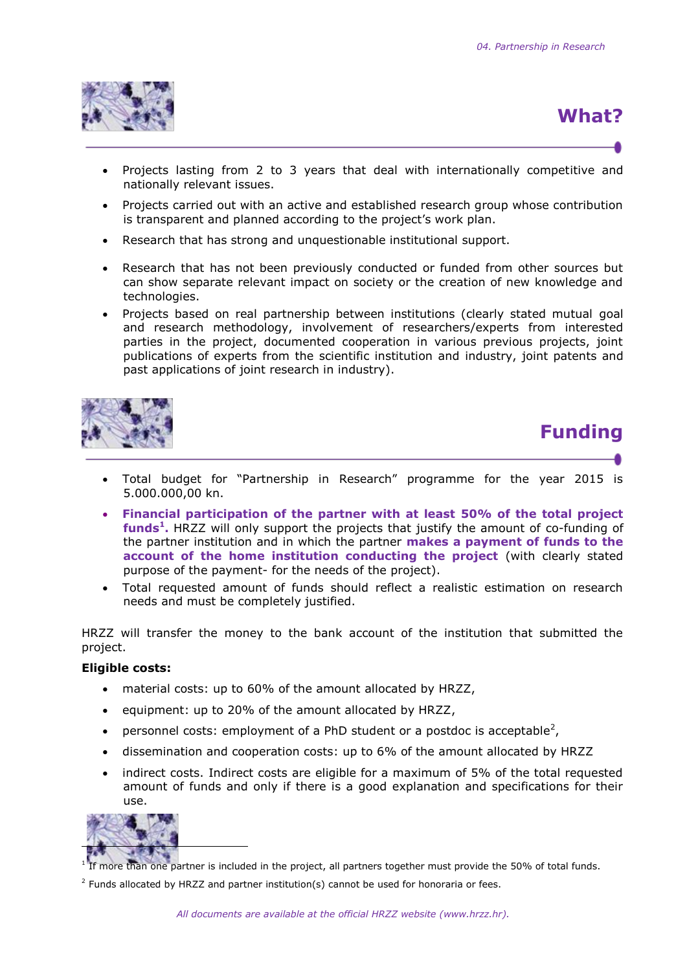

# **What?**

- Projects lasting from 2 to 3 years that deal with internationally competitive and nationally relevant issues.
- Projects carried out with an active and established research group whose contribution is transparent and planned according to the project's work plan.
- Research that has strong and unquestionable institutional support.
- Research that has not been previously conducted or funded from other sources but can show separate relevant impact on society or the creation of new knowledge and technologies.
- Projects based on real partnership between institutions (clearly stated mutual goal and research methodology, involvement of researchers/experts from interested parties in the project, documented cooperation in various previous projects, joint publications of experts from the scientific institution and industry, joint patents and past applications of joint research in industry).



# **Funding**

- Total budget for "Partnership in Research" programme for the year 2015 is 5.000.000,00 kn.
- **Financial participation of the partner with at least 50% of the total project funds<sup>1</sup> .** HRZZ will only support the projects that justify the amount of co-funding of the partner institution and in which the partner **makes a payment of funds to the account of the home institution conducting the project** (with clearly stated purpose of the payment- for the needs of the project).
- Total requested amount of funds should reflect a realistic estimation on research needs and must be completely justified.

HRZZ will transfer the money to the bank account of the institution that submitted the project.

### **Eligible costs:**

- material costs: up to 60% of the amount allocated by HRZZ,
- equipment: up to 20% of the amount allocated by HRZZ,
- personnel costs: employment of a PhD student or a postdoc is acceptable<sup>2</sup>,
- dissemination and cooperation costs: up to 6% of the amount allocated by HRZZ
- indirect costs. Indirect costs are eligible for a maximum of 5% of the total requested amount of funds and only if there is a good explanation and specifications for their use.



- 1 If more than one partner is included in the project, all partners together must provide the 50% of total funds.
- $2$  Funds allocated by HRZZ and partner institution(s) cannot be used for honoraria or fees.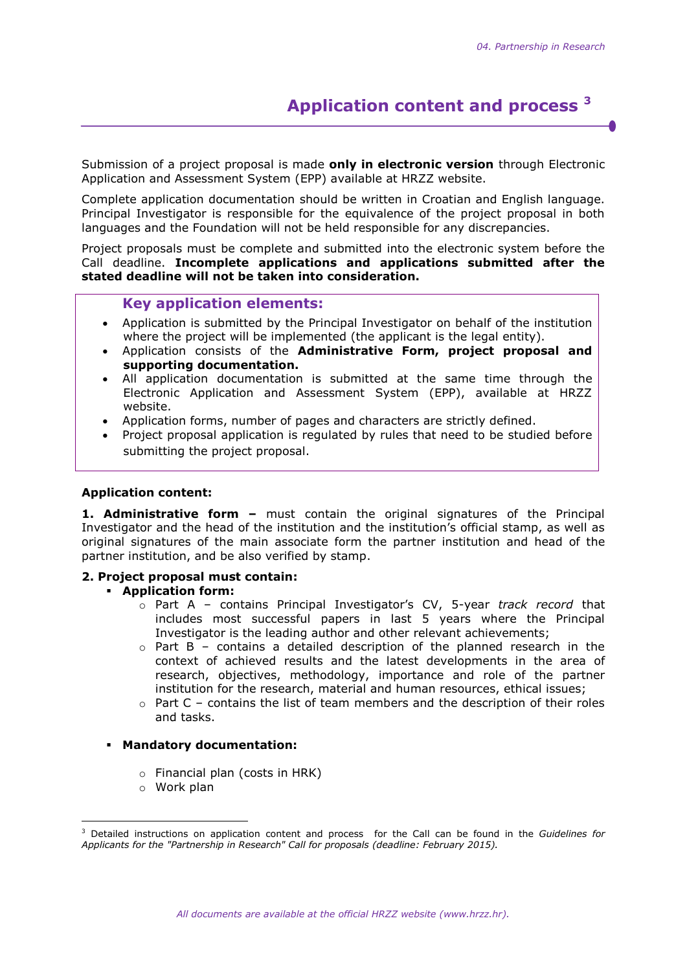## **Application content and process <sup>3</sup>**

Submission of a project proposal is made **only in electronic version** through Electronic Application and Assessment System (EPP) available at HRZZ website.

Complete application documentation should be written in Croatian and English language. Principal Investigator is responsible for the equivalence of the project proposal in both languages and the Foundation will not be held responsible for any discrepancies.

Project proposals must be complete and submitted into the electronic system before the Call deadline. **Incomplete applications and applications submitted after the stated deadline will not be taken into consideration.**

### **Key application elements:**

- Application is submitted by the Principal Investigator on behalf of the institution where the project will be implemented (the applicant is the legal entity).
- Application consists of the **Administrative Form, project proposal and supporting documentation.**
- All application documentation is submitted at the same time through the Electronic Application and Assessment System (EPP), available at HRZZ website.
- Application forms, number of pages and characters are strictly defined.
- Project proposal application is regulated by rules that need to be studied before submitting the project proposal.

### **Application content:**

**1. Administrative form –** must contain the original signatures of the Principal Investigator and the head of the institution and the institution's official stamp, as well as original signatures of the main associate form the partner institution and head of the partner institution, and be also verified by stamp.

### **2. Project proposal must contain:**

### **Application form:**

- o Part A contains Principal Investigator's CV, 5-year *track record* that includes most successful papers in last 5 years where the Principal Investigator is the leading author and other relevant achievements;
- $\circ$  Part B contains a detailed description of the planned research in the context of achieved results and the latest developments in the area of research, objectives, methodology, importance and role of the partner institution for the research, material and human resources, ethical issues;
- $\circ$  Part C contains the list of team members and the description of their roles and tasks.

### **Mandatory documentation:**

- o Financial plan (costs in HRK)
- o Work plan

<u>.</u>

<sup>3</sup> Detailed instructions on application content and process for the Call can be found in the *Guidelines for Applicants for the "Partnership in Research" Call for proposals (deadline: February 2015).*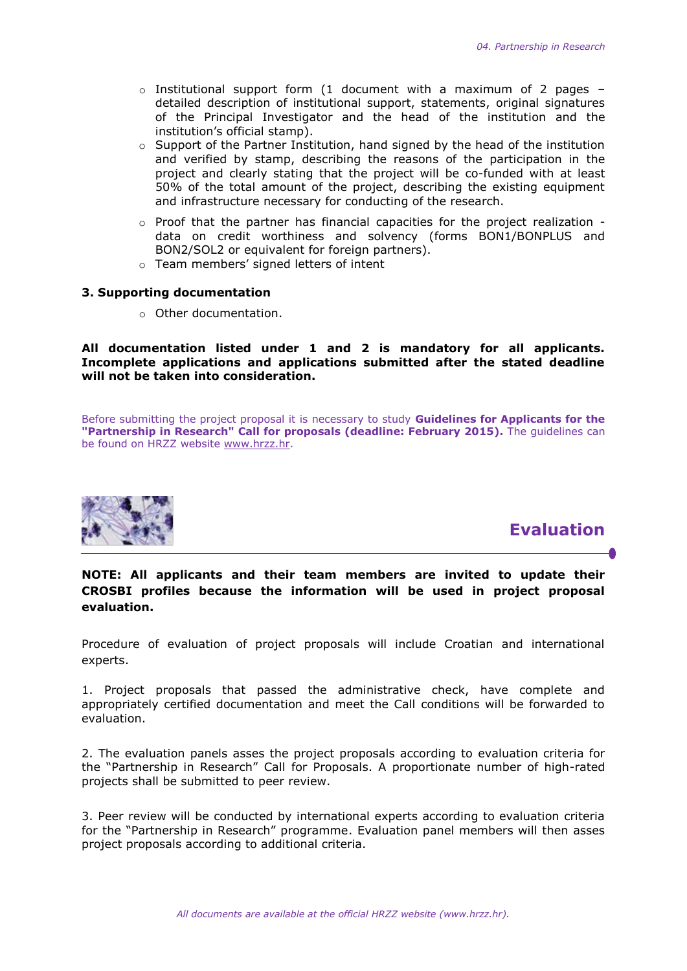- $\circ$  Institutional support form (1 document with a maximum of 2 pages detailed description of institutional support, statements, original signatures of the Principal Investigator and the head of the institution and the institution's official stamp).
- o Support of the Partner Institution, hand signed by the head of the institution and verified by stamp, describing the reasons of the participation in the project and clearly stating that the project will be co-funded with at least 50% of the total amount of the project, describing the existing equipment and infrastructure necessary for conducting of the research.
- o Proof that the partner has financial capacities for the project realization data on credit worthiness and solvency (forms BON1/BONPLUS and BON2/SOL2 or equivalent for foreign partners).
- o Team members' signed letters of intent

### **3. Supporting documentation**

o Other documentation.

**All documentation listed under 1 and 2 is mandatory for all applicants. Incomplete applications and applications submitted after the stated deadline will not be taken into consideration.**

Before submitting the project proposal it is necessary to study **Guidelines for Applicants for the "Partnership in Research" Call for proposals (deadline: February 2015).** The guidelines can be found on HRZZ website [www.hrzz.hr.](http://www.hrzz.hr/)



### **Evaluation**

**NOTE: All applicants and their team members are invited to update their CROSBI profiles because the information will be used in project proposal evaluation.**

Procedure of evaluation of project proposals will include Croatian and international experts.

1. Project proposals that passed the administrative check, have complete and appropriately certified documentation and meet the Call conditions will be forwarded to evaluation.

2. The evaluation panels asses the project proposals according to evaluation criteria for the "Partnership in Research" Call for Proposals. A proportionate number of high-rated projects shall be submitted to peer review.

3. Peer review will be conducted by international experts according to evaluation criteria for the "Partnership in Research" programme. Evaluation panel members will then asses project proposals according to additional criteria.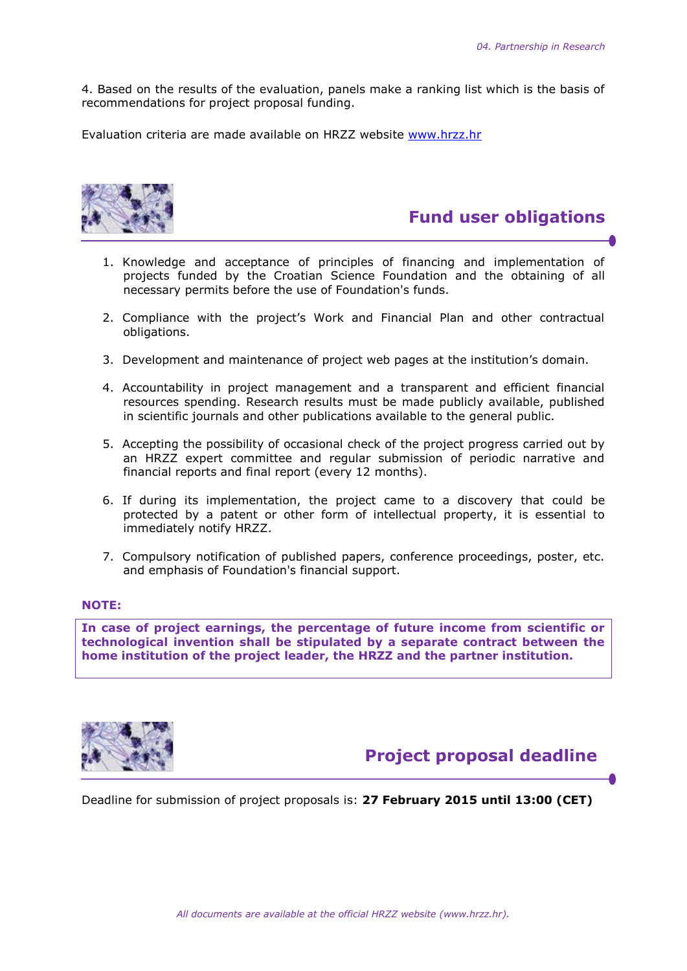4. Based on the results of the evaluation, panels make a ranking list which is the basis of recommendations for project proposal funding.

Evaluation criteria are made available on HRZZ website [www.hrzz.hr](http://www.hrzz.hr/)



**Fund user obligations**

- 1. Knowledge and acceptance of principles of financing and implementation of projects funded by the Croatian Science Foundation and the obtaining of all necessary permits before the use of Foundation's funds.
- 2. Compliance with the project's Work and Financial Plan and other contractual obligations.
- 3. Development and maintenance of project web pages at the institution's domain.
- 4. Accountability in project management and a transparent and efficient financial resources spending. Research results must be made publicly available, published in scientific journals and other publications available to the general public.
- 5. Accepting the possibility of occasional check of the project progress carried out by an HRZZ expert committee and regular submission of periodic narrative and financial reports and final report (every 12 months).
- 6. If during its implementation, the project came to a discovery that could be protected by a patent or other form of intellectual property, it is essential to immediately notify HRZZ.
- 7. Compulsory notification of published papers, conference proceedings, poster, etc. and emphasis of Foundation's financial support.

#### **NOTE:**

**In case of project earnings, the percentage of future income from scientific or technological invention shall be stipulated by a separate contract between the home institution of the project leader, the HRZZ and the partner institution.**



## **Project proposal deadline**

Deadline for submission of project proposals is: **27 February 2015 until 13:00 (CET)**